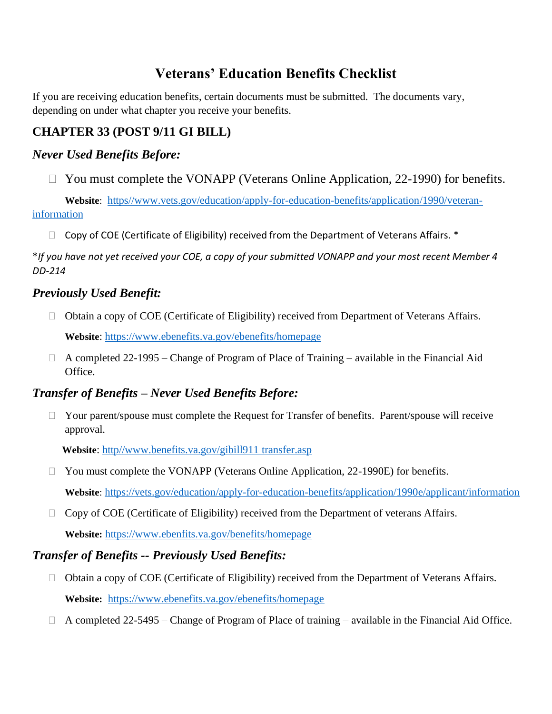# **Veterans' Education Benefits Checklist**

If you are receiving education benefits, certain documents must be submitted. The documents vary, depending on under what chapter you receive your benefits.

## **CHAPTER 33 (POST 9/11 GI BILL)**

### *Never Used Benefits Before:*

 $\Box$  You must complete the VONAPP (Veterans Online Application, 22-1990) for benefits.

 **Website**: [https//www.vets.gov/education/apply-for-education-benefits/application/1990/veteran](https://www.vets.gov/edcuation/apply-for-education-benefits/application/1990/veteran-information)[information](https://www.vets.gov/edcuation/apply-for-education-benefits/application/1990/veteran-information) 

 $\Box$  Copy of COE (Certificate of Eligibility) received from the Department of Veterans Affairs.  $*$ 

\**If you have not yet received your COE, a copy of your submitted VONAPP and your most recent Member 4 DD-214*

### *Previously Used Benefit:*

□ Obtain a copy of COE (Certificate of Eligibility) received from Department of Veterans Affairs.

 **Website**:<https://www.ebenefits.va.gov/ebenefits/homepage>

 $\Box$  A completed 22-1995 – Change of Program of Place of Training – available in the Financial Aid Office.

## *Transfer of Benefits – Never Used Benefits Before:*

 $\Box$  Your parent/spouse must complete the Request for Transfer of benefits. Parent/spouse will receive approval.

**Website**: [http//www.benefits.va.gov/gibill911 transfer.asp](file:///C:/Users/ehlubb/Desktop/VA/http/www.benefits.va.gov/gibill911%20transfer.asp)

- □ You must complete the VONAPP (Veterans Online Application, 22-1990E) for benefits.  **Website**: <https://vets.gov/education/apply-for-education-benefits/application/1990e/applicant/information>
- $\Box$  Copy of COE (Certificate of Eligibility) received from the Department of veterans Affairs.  **Website:** <https://www.ebenfits.va.gov/benefits/homepage>

## *Transfer of Benefits -- Previously Used Benefits:*

- $\Box$  Obtain a copy of COE (Certificate of Eligibility) received from the Department of Veterans Affairs.  **Website:** <https://www.ebenefits.va.gov/ebenefits/homepage>
- $\Box$  A completed 22-5495 Change of Program of Place of training available in the Financial Aid Office.